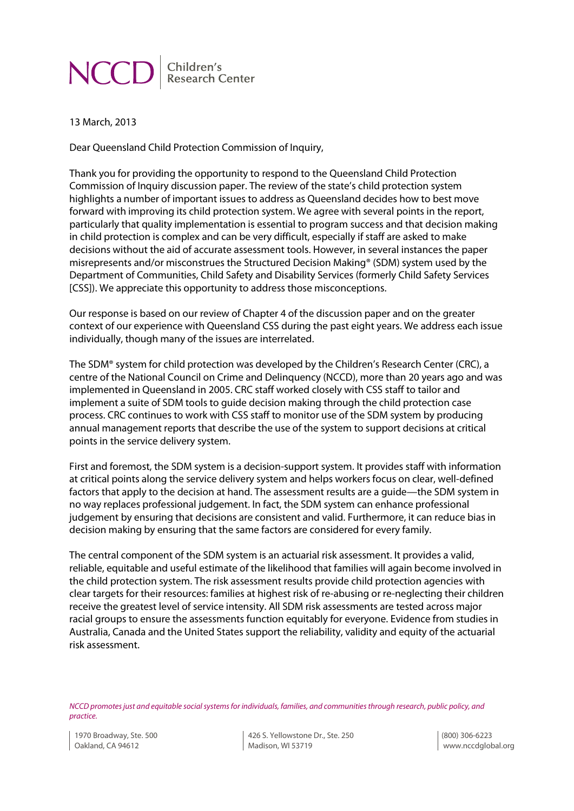Children's **NCC Research Center** 

13 March, 2013

Dear Queensland Child Protection Commission of Inquiry,

Thank you for providing the opportunity to respond to the Queensland Child Protection Commission of Inquiry discussion paper. The review of the state's child protection system highlights a number of important issues to address as Queensland decides how to best move forward with improving its child protection system. We agree with several points in the report, particularly that quality implementation is essential to program success and that decision making in child protection is complex and can be very difficult, especially if staff are asked to make decisions without the aid of accurate assessment tools. However, in several instances the paper misrepresents and/or misconstrues the Structured Decision Making® (SDM) system used by the Department of Communities, Child Safety and Disability Services (formerly Child Safety Services [CSS]). We appreciate this opportunity to address those misconceptions.

Our response is based on our review of Chapter 4 of the discussion paper and on the greater context of our experience with Queensland CSS during the past eight years. We address each issue individually, though many of the issues are interrelated.

The SDM® system for child protection was developed by the Children's Research Center (CRC), a centre of the National Council on Crime and Delinquency (NCCD), more than 20 years ago and was implemented in Queensland in 2005. CRC staff worked closely with CSS staff to tailor and implement a suite of SDM tools to guide decision making through the child protection case process. CRC continues to work with CSS staff to monitor use of the SDM system by producing annual management reports that describe the use of the system to support decisions at critical points in the service delivery system.

First and foremost, the SDM system is a decision-support system. It provides staff with information at critical points along the service delivery system and helps workers focus on clear, well-defined factors that apply to the decision at hand. The assessment results are a guide—the SDM system in no way replaces professional judgement. In fact, the SDM system can enhance professional judgement by ensuring that decisions are consistent and valid. Furthermore, it can reduce bias in decision making by ensuring that the same factors are considered for every family.

The central component of the SDM system is an actuarial risk assessment. It provides a valid, reliable, equitable and useful estimate of the likelihood that families will again become involved in the child protection system. The risk assessment results provide child protection agencies with clear targets for their resources: families at highest risk of re-abusing or re-neglecting their children receive the greatest level of service intensity. All SDM risk assessments are tested across major racial groups to ensure the assessments function equitably for everyone. Evidence from studies in Australia, Canada and the United States support the reliability, validity and equity of the actuarial risk assessment.

*NCCD promotes just and equitable social systems for individuals, families, and communities through research, public policy, and practice.*

426 S. Yellowstone Dr., Ste. 250 Madison, WI 53719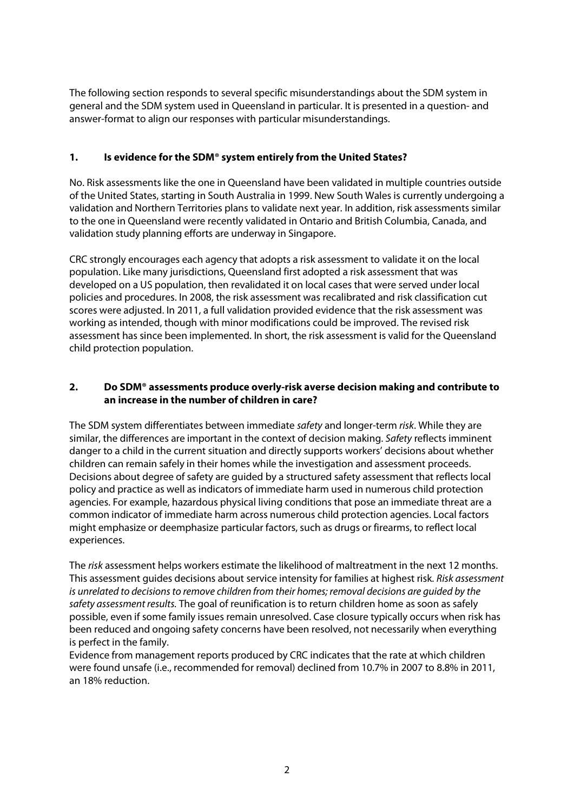The following section responds to several specific misunderstandings about the SDM system in general and the SDM system used in Queensland in particular. It is presented in a question- and answer-format to align our responses with particular misunderstandings.

## **1. Is evidence for the SDM® system entirely from the United States?**

No. Risk assessments like the one in Queensland have been validated in multiple countries outside of the United States, starting in South Australia in 1999. New South Wales is currently undergoing a validation and Northern Territories plans to validate next year. In addition, risk assessments similar to the one in Queensland were recently validated in Ontario and British Columbia, Canada, and validation study planning efforts are underway in Singapore.

CRC strongly encourages each agency that adopts a risk assessment to validate it on the local population. Like many jurisdictions, Queensland first adopted a risk assessment that was developed on a US population, then revalidated it on local cases that were served under local policies and procedures. In 2008, the risk assessment was recalibrated and risk classification cut scores were adjusted. In 2011, a full validation provided evidence that the risk assessment was working as intended, though with minor modifications could be improved. The revised risk assessment has since been implemented. In short, the risk assessment is valid for the Queensland child protection population.

### **2. Do SDM® assessments produce overly-risk averse decision making and contribute to an increase in the number of children in care?**

The SDM system differentiates between immediate *safety* and longer-term *risk*. While they are similar, the differences are important in the context of decision making. *Safety* reflects imminent danger to a child in the current situation and directly supports workers' decisions about whether children can remain safely in their homes while the investigation and assessment proceeds. Decisions about degree of safety are guided by a structured safety assessment that reflects local policy and practice as well as indicators of immediate harm used in numerous child protection agencies. For example, hazardous physical living conditions that pose an immediate threat are a common indicator of immediate harm across numerous child protection agencies. Local factors might emphasize or deemphasize particular factors, such as drugs or firearms, to reflect local experiences.

The *risk* assessment helps workers estimate the likelihood of maltreatment in the next 12 months. This assessment guides decisions about service intensity for families at highest risk. *Risk assessment is unrelated to decisions to remove children from their homes; removal decisions are guided by the safety assessment results.* The goal of reunification is to return children home as soon as safely possible, even if some family issues remain unresolved. Case closure typically occurs when risk has been reduced and ongoing safety concerns have been resolved, not necessarily when everything is perfect in the family.

Evidence from management reports produced by CRC indicates that the rate at which children were found unsafe (i.e., recommended for removal) declined from 10.7% in 2007 to 8.8% in 2011, an 18% reduction.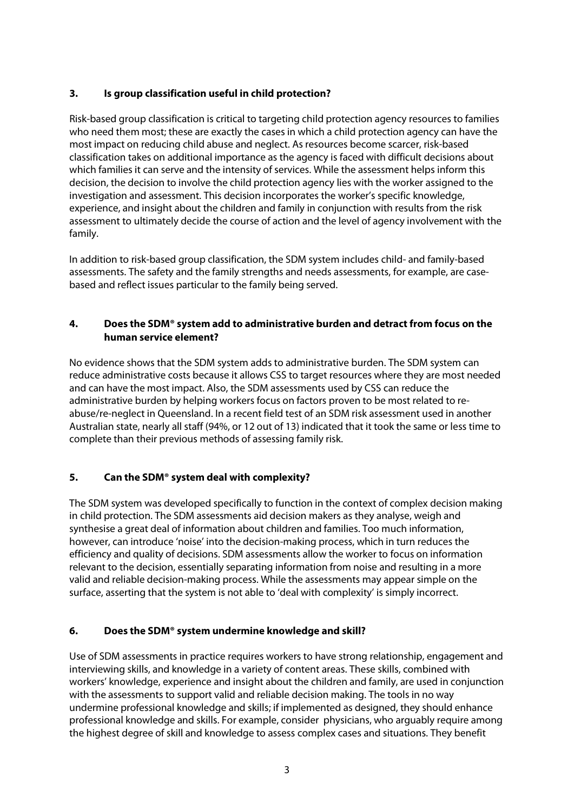# **3. Is group classification useful in child protection?**

Risk-based group classification is critical to targeting child protection agency resources to families who need them most; these are exactly the cases in which a child protection agency can have the most impact on reducing child abuse and neglect. As resources become scarcer, risk-based classification takes on additional importance as the agency is faced with difficult decisions about which families it can serve and the intensity of services. While the assessment helps inform this decision, the decision to involve the child protection agency lies with the worker assigned to the investigation and assessment. This decision incorporates the worker's specific knowledge, experience, and insight about the children and family in conjunction with results from the risk assessment to ultimately decide the course of action and the level of agency involvement with the family.

In addition to risk-based group classification, the SDM system includes child- and family-based assessments. The safety and the family strengths and needs assessments, for example, are casebased and reflect issues particular to the family being served.

## **4. Does the SDM® system add to administrative burden and detract from focus on the human service element?**

No evidence shows that the SDM system adds to administrative burden. The SDM system can reduce administrative costs because it allows CSS to target resources where they are most needed and can have the most impact. Also, the SDM assessments used by CSS can reduce the administrative burden by helping workers focus on factors proven to be most related to reabuse/re-neglect in Queensland. In a recent field test of an SDM risk assessment used in another Australian state, nearly all staff (94%, or 12 out of 13) indicated that it took the same or less time to complete than their previous methods of assessing family risk.

# **5. Can the SDM® system deal with complexity?**

The SDM system was developed specifically to function in the context of complex decision making in child protection. The SDM assessments aid decision makers as they analyse, weigh and synthesise a great deal of information about children and families. Too much information, however, can introduce 'noise' into the decision-making process, which in turn reduces the efficiency and quality of decisions. SDM assessments allow the worker to focus on information relevant to the decision, essentially separating information from noise and resulting in a more valid and reliable decision-making process. While the assessments may appear simple on the surface, asserting that the system is not able to 'deal with complexity' is simply incorrect.

# **6. Does the SDM® system undermine knowledge and skill?**

Use of SDM assessments in practice requires workers to have strong relationship, engagement and interviewing skills, and knowledge in a variety of content areas. These skills, combined with workers' knowledge, experience and insight about the children and family, are used in conjunction with the assessments to support valid and reliable decision making. The tools in no way undermine professional knowledge and skills; if implemented as designed, they should enhance professional knowledge and skills. For example, consider physicians, who arguably require among the highest degree of skill and knowledge to assess complex cases and situations. They benefit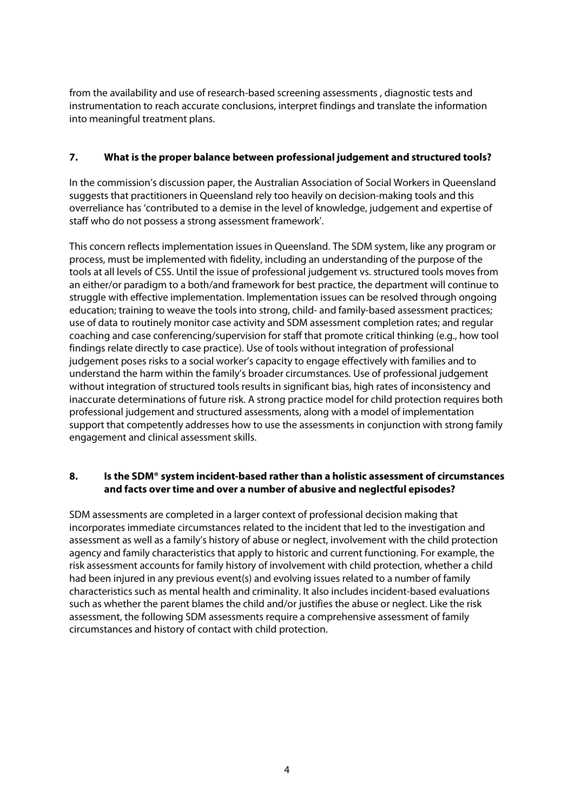from the availability and use of research-based screening assessments , diagnostic tests and instrumentation to reach accurate conclusions, interpret findings and translate the information into meaningful treatment plans.

### **7. What is the proper balance between professional judgement and structured tools?**

In the commission's discussion paper, the Australian Association of Social Workers in Queensland suggests that practitioners in Queensland rely too heavily on decision-making tools and this overreliance has 'contributed to a demise in the level of knowledge, judgement and expertise of staff who do not possess a strong assessment framework'.

This concern reflects implementation issues in Queensland. The SDM system, like any program or process, must be implemented with fidelity, including an understanding of the purpose of the tools at all levels of CSS. Until the issue of professional judgement vs. structured tools moves from an either/or paradigm to a both/and framework for best practice, the department will continue to struggle with effective implementation. Implementation issues can be resolved through ongoing education; training to weave the tools into strong, child- and family-based assessment practices; use of data to routinely monitor case activity and SDM assessment completion rates; and regular coaching and case conferencing/supervision for staff that promote critical thinking (e.g., how tool findings relate directly to case practice). Use of tools without integration of professional judgement poses risks to a social worker's capacity to engage effectively with families and to understand the harm within the family's broader circumstances. Use of professional judgement without integration of structured tools results in significant bias, high rates of inconsistency and inaccurate determinations of future risk. A strong practice model for child protection requires both professional judgement and structured assessments, along with a model of implementation support that competently addresses how to use the assessments in conjunction with strong family engagement and clinical assessment skills.

### **8. Is the SDM® system incident-based rather than a holistic assessment of circumstances and facts over time and over a number of abusive and neglectful episodes?**

SDM assessments are completed in a larger context of professional decision making that incorporates immediate circumstances related to the incident that led to the investigation and assessment as well as a family's history of abuse or neglect, involvement with the child protection agency and family characteristics that apply to historic and current functioning. For example, the risk assessment accounts for family history of involvement with child protection, whether a child had been injured in any previous event(s) and evolving issues related to a number of family characteristics such as mental health and criminality. It also includes incident-based evaluations such as whether the parent blames the child and/or justifies the abuse or neglect. Like the risk assessment, the following SDM assessments require a comprehensive assessment of family circumstances and history of contact with child protection.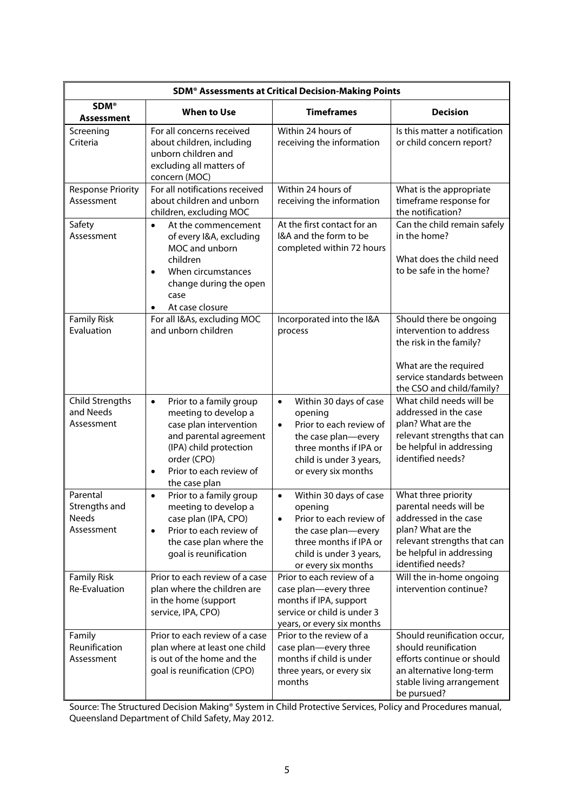| <b>SDM<sup>®</sup> Assessments at Critical Decision-Making Points</b> |                                                                                                                                                                                                                    |                                                                                                                                                                                           |                                                                                                                                                                              |
|-----------------------------------------------------------------------|--------------------------------------------------------------------------------------------------------------------------------------------------------------------------------------------------------------------|-------------------------------------------------------------------------------------------------------------------------------------------------------------------------------------------|------------------------------------------------------------------------------------------------------------------------------------------------------------------------------|
| <b>SDM®</b><br>Assessment                                             | <b>When to Use</b>                                                                                                                                                                                                 | <b>Timeframes</b>                                                                                                                                                                         | <b>Decision</b>                                                                                                                                                              |
| Screening<br>Criteria                                                 | For all concerns received<br>about children, including<br>unborn children and<br>excluding all matters of<br>concern (MOC)                                                                                         | Within 24 hours of<br>receiving the information                                                                                                                                           | Is this matter a notification<br>or child concern report?                                                                                                                    |
| <b>Response Priority</b><br>Assessment                                | For all notifications received<br>about children and unborn<br>children, excluding MOC                                                                                                                             | Within 24 hours of<br>receiving the information                                                                                                                                           | What is the appropriate<br>timeframe response for<br>the notification?                                                                                                       |
| Safety<br>Assessment                                                  | At the commencement<br>$\bullet$<br>of every I&A, excluding<br>MOC and unborn<br>children<br>When circumstances<br>$\bullet$<br>change during the open<br>case<br>At case closure                                  | At the first contact for an<br>I&A and the form to be<br>completed within 72 hours                                                                                                        | Can the child remain safely<br>in the home?<br>What does the child need<br>to be safe in the home?                                                                           |
| <b>Family Risk</b><br>Evaluation                                      | For all I&As, excluding MOC<br>and unborn children                                                                                                                                                                 | Incorporated into the I&A<br>process                                                                                                                                                      | Should there be ongoing<br>intervention to address<br>the risk in the family?<br>What are the required<br>service standards between<br>the CSO and child/family?             |
| Child Strengths<br>and Needs<br>Assessment                            | Prior to a family group<br>$\bullet$<br>meeting to develop a<br>case plan intervention<br>and parental agreement<br>(IPA) child protection<br>order (CPO)<br>Prior to each review of<br>$\bullet$<br>the case plan | Within 30 days of case<br>$\bullet$<br>opening<br>Prior to each review of<br>$\bullet$<br>the case plan-every<br>three months if IPA or<br>child is under 3 years,<br>or every six months | What child needs will be<br>addressed in the case<br>plan? What are the<br>relevant strengths that can<br>be helpful in addressing<br>identified needs?                      |
| Parental<br>Strengths and<br>Needs<br>Assessment                      | Prior to a family group<br>$\bullet$<br>meeting to develop a<br>case plan (IPA, CPO)<br>Prior to each review of<br>$\bullet$<br>the case plan where the<br>goal is reunification                                   | Within 30 days of case<br>$\bullet$<br>opening<br>Prior to each review of<br>$\bullet$<br>the case plan—every<br>three months if IPA or<br>child is under 3 years,<br>or every six months | What three priority<br>parental needs will be<br>addressed in the case<br>plan? What are the<br>relevant strengths that can<br>be helpful in addressing<br>identified needs? |
| <b>Family Risk</b><br>Re-Evaluation                                   | Prior to each review of a case<br>plan where the children are<br>in the home (support<br>service, IPA, CPO)                                                                                                        | Prior to each review of a<br>case plan-every three<br>months if IPA, support<br>service or child is under 3<br>years, or every six months                                                 | Will the in-home ongoing<br>intervention continue?                                                                                                                           |
| Family<br>Reunification<br>Assessment                                 | Prior to each review of a case<br>plan where at least one child<br>is out of the home and the<br>goal is reunification (CPO)                                                                                       | Prior to the review of a<br>case plan-every three<br>months if child is under<br>three years, or every six<br>months                                                                      | Should reunification occur,<br>should reunification<br>efforts continue or should<br>an alternative long-term<br>stable living arrangement<br>be pursued?                    |

Source: The Structured Decision Making® System in Child Protective Services, Policy and Procedures manual, Queensland Department of Child Safety, May 2012.